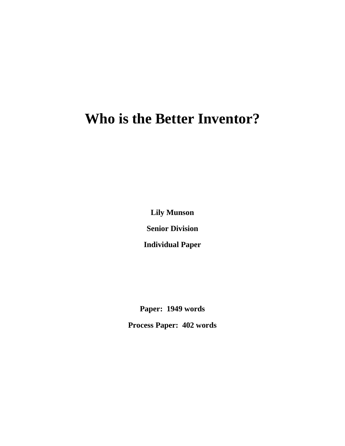## **Who is the Better Inventor?**

**Lily Munson Senior Division**

**Individual Paper**

**Paper: 1949 words**

**Process Paper: 402 words**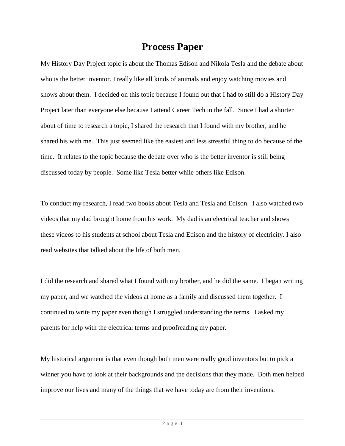## **Process Paper**

My History Day Project topic is about the Thomas Edison and Nikola Tesla and the debate about who is the better inventor. I really like all kinds of animals and enjoy watching movies and shows about them. I decided on this topic because I found out that I had to still do a History Day Project later than everyone else because I attend Career Tech in the fall. Since I had a shorter about of time to research a topic, I shared the research that I found with my brother, and he shared his with me. This just seemed like the easiest and less stressful thing to do because of the time. It relates to the topic because the debate over who is the better inventor is still being discussed today by people. Some like Tesla better while others like Edison.

To conduct my research, I read two books about Tesla and Tesla and Edison. I also watched two videos that my dad brought home from his work. My dad is an electrical teacher and shows these videos to his students at school about Tesla and Edison and the history of electricity. I also read websites that talked about the life of both men.

I did the research and shared what I found with my brother, and he did the same. I began writing my paper, and we watched the videos at home as a family and discussed them together. I continued to write my paper even though I struggled understanding the terms. I asked my parents for help with the electrical terms and proofreading my paper.

My historical argument is that even though both men were really good inventors but to pick a winner you have to look at their backgrounds and the decisions that they made. Both men helped improve our lives and many of the things that we have today are from their inventions.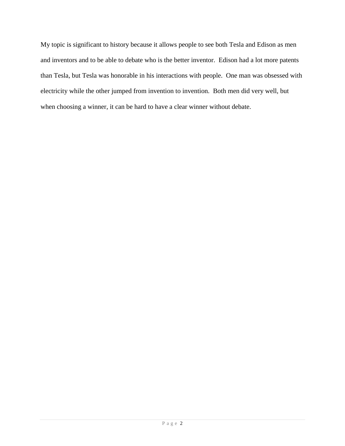My topic is significant to history because it allows people to see both Tesla and Edison as men and inventors and to be able to debate who is the better inventor. Edison had a lot more patents than Tesla, but Tesla was honorable in his interactions with people. One man was obsessed with electricity while the other jumped from invention to invention. Both men did very well, but when choosing a winner, it can be hard to have a clear winner without debate.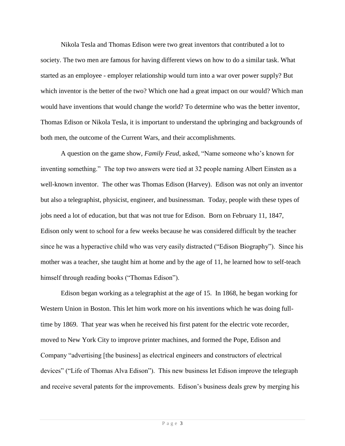Nikola Tesla and Thomas Edison were two great inventors that contributed a lot to society. The two men are famous for having different views on how to do a similar task. What started as an employee - employer relationship would turn into a war over power supply? But which inventor is the better of the two? Which one had a great impact on our would? Which man would have inventions that would change the world? To determine who was the better inventor, Thomas Edison or Nikola Tesla, it is important to understand the upbringing and backgrounds of both men, the outcome of the Current Wars, and their accomplishments.

A question on the game show, *Family Feud*, asked, "Name someone who's known for inventing something." The top two answers were tied at 32 people naming Albert Einsten as a well-known inventor. The other was Thomas Edison (Harvey). Edison was not only an inventor but also a telegraphist, physicist, engineer, and businessman. Today, people with these types of jobs need a lot of education, but that was not true for Edison. Born on February 11, 1847, Edison only went to school for a few weeks because he was considered difficult by the teacher since he was a hyperactive child who was very easily distracted ("Edison Biography"). Since his mother was a teacher, she taught him at home and by the age of 11, he learned how to self-teach himself through reading books ("Thomas Edison").

Edison began working as a telegraphist at the age of 15. In 1868, he began working for Western Union in Boston. This let him work more on his inventions which he was doing fulltime by 1869. That year was when he received his first patent for the electric vote recorder, moved to New York City to improve printer machines, and formed the Pope, Edison and Company "advertising [the business] as electrical engineers and constructors of electrical devices" ("Life of Thomas Alva Edison"). This new business let Edison improve the telegraph and receive several patents for the improvements. Edison's business deals grew by merging his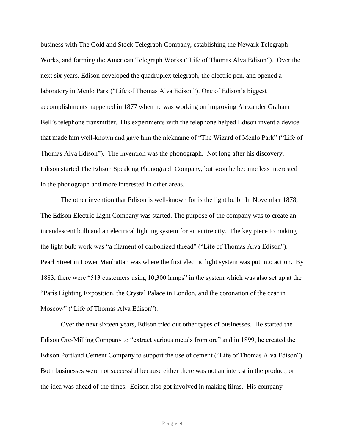business with The Gold and Stock Telegraph Company, establishing the Newark Telegraph Works, and forming the American Telegraph Works ("Life of Thomas Alva Edison"). Over the next six years, Edison developed the quadruplex telegraph, the electric pen, and opened a laboratory in Menlo Park ("Life of Thomas Alva Edison"). One of Edison's biggest accomplishments happened in 1877 when he was working on improving Alexander Graham Bell's telephone transmitter. His experiments with the telephone helped Edison invent a device that made him well-known and gave him the nickname of "The Wizard of Menlo Park" ("Life of Thomas Alva Edison"). The invention was the phonograph. Not long after his discovery, Edison started The Edison Speaking Phonograph Company, but soon he became less interested in the phonograph and more interested in other areas.

The other invention that Edison is well-known for is the light bulb. In November 1878, The Edison Electric Light Company was started. The purpose of the company was to create an incandescent bulb and an electrical lighting system for an entire city. The key piece to making the light bulb work was "a filament of carbonized thread" ("Life of Thomas Alva Edison"). Pearl Street in Lower Manhattan was where the first electric light system was put into action. By 1883, there were "513 customers using 10,300 lamps" in the system which was also set up at the "Paris Lighting Exposition, the Crystal Palace in London, and the coronation of the czar in Moscow" ("Life of Thomas Alva Edison").

Over the next sixteen years, Edison tried out other types of businesses. He started the Edison Ore-Milling Company to "extract various metals from ore" and in 1899, he created the Edison Portland Cement Company to support the use of cement ("Life of Thomas Alva Edison"). Both businesses were not successful because either there was not an interest in the product, or the idea was ahead of the times. Edison also got involved in making films. His company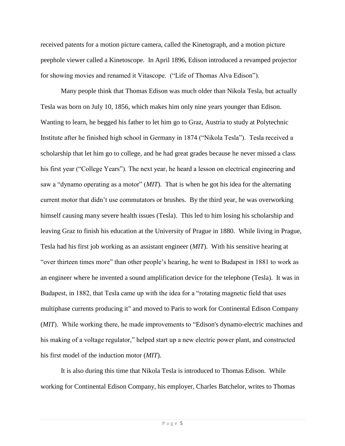received patents for a motion picture camera, called the Kinetograph, and a motion picture peephole viewer called a Kinetoscope. In April 1896, Edison introduced a revamped projector for showing movies and renamed it Vitascope. ("Life of Thomas Alva Edison").

Many people think that Thomas Edison was much older than Nikola Tesla, but actually Tesla was born on July 10, 1856, which makes him only nine years younger than Edison. Wanting to learn, he begged his father to let him go to Graz, Austria to study at Polytechnic Institute after he finished high school in Germany in 1874 ("Nikola Tesla"). Tesla received a scholarship that let him go to college, and he had great grades because he never missed a class his first year ("College Years"). The next year, he heard a lesson on electrical engineering and saw a "dynamo operating as a motor" (*MIT*). That is when he got his idea for the alternating current motor that didn't use commutators or brushes. By the third year, he was overworking himself causing many severe health issues (Tesla). This led to him losing his scholarship and leaving Graz to finish his education at the University of Prague in 1880. While living in Prague, Tesla had his first job working as an assistant engineer (*MIT*). With his sensitive hearing at "over thirteen times more" than other people's hearing, he went to Budapest in 1881 to work as an engineer where he invented a sound amplification device for the telephone (Tesla). It was in Budapest, in 1882, that Tesla came up with the idea for a "rotating magnetic field that uses multiphase currents producing it" and moved to Paris to work for Continental Edison Company (*MIT*). While working there, he made improvements to "Edison's dynamo-electric machines and his making of a voltage regulator," helped start up a new electric power plant, and constructed his first model of the induction motor (*MIT*).

It is also during this time that Nikola Tesla is introduced to Thomas Edison. While working for Continental Edison Company, his employer, Charles Batchelor, writes to Thomas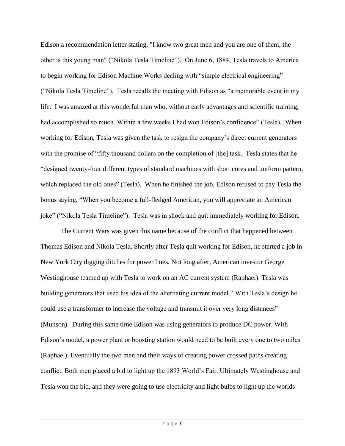Edison a recommendation letter stating, "I know two great men and you are one of them; the other is this young man" ("Nikola Tesla Timeline"). On June 6, 1884, Tesla travels to America to begin working for Edison Machine Works dealing with "simple electrical engineering" ("Nikola Tesla Timeline"). Tesla recalls the meeting with Edison as "a memorable event in my life. I was amazed at this wonderful man who, without early advantages and scientific training, had accomplished so much. Within a few weeks I had won Edison's confidence" (Tesla)*.* When working for Edison, Tesla was given the task to resign the company's direct current generators with the promise of "fifty thousand dollars on the completion of [the] task. Tesla states that he "designed twenty-four different types of standard machines with short cores and uniform pattern, which replaced the old ones" (Tesla)*.* When he finished the job, Edison refused to pay Tesla the bonus saying, "When you become a full-fledged American, you will appreciate an American joke" ("Nikola Tesla Timeline"). Tesla was in shock and quit immediately working for Edison.

The Current Wars was given this name because of the conflict that happened between Thomas Edison and Nikola Tesla. Shortly after Tesla quit working for Edison, he started a job in New York City digging ditches for power lines. Not long after, American investor George Westinghouse teamed up with Tesla to work on an AC current system (Raphael). Tesla was building generators that used his idea of the alternating current model. "With Tesla's design he could use a transformer to increase the voltage and transmit it over very long distances" (Munson). During this same time Edison was using generators to produce DC power. With Edison's model, a power plant or boosting station would need to be built every one to two miles (Raphael). Eventually the two men and their ways of creating power crossed paths creating conflict. Both men placed a bid to light up the 1893 World's Fair. Ultimately Westinghouse and Tesla won the bid, and they were going to use electricity and light bulbs to light up the worlds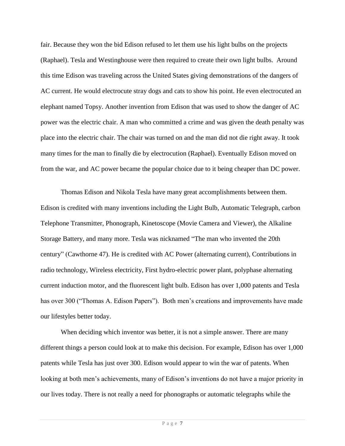fair. Because they won the bid Edison refused to let them use his light bulbs on the projects (Raphael). Tesla and Westinghouse were then required to create their own light bulbs. Around this time Edison was traveling across the United States giving demonstrations of the dangers of AC current. He would electrocute stray dogs and cats to show his point. He even electrocuted an elephant named Topsy. Another invention from Edison that was used to show the danger of AC power was the electric chair. A man who committed a crime and was given the death penalty was place into the electric chair. The chair was turned on and the man did not die right away. It took many times for the man to finally die by electrocution (Raphael). Eventually Edison moved on from the war, and AC power became the popular choice due to it being cheaper than DC power.

Thomas Edison and Nikola Tesla have many great accomplishments between them. Edison is credited with many inventions including the Light Bulb, Automatic Telegraph, carbon Telephone Transmitter, Phonograph, Kinetoscope (Movie Camera and Viewer), the Alkaline Storage Battery, and many more. Tesla was nicknamed "The man who invented the 20th century" (Cawthorne 47). He is credited with AC Power (alternating current), Contributions in radio technology, Wireless electricity, First hydro-electric power plant, polyphase alternating current induction motor, and the fluorescent light bulb. Edison has over 1,000 patents and Tesla has over 300 ("Thomas A. Edison Papers"). Both men's creations and improvements have made our lifestyles better today.

When deciding which inventor was better, it is not a simple answer. There are many different things a person could look at to make this decision. For example, Edison has over 1,000 patents while Tesla has just over 300. Edison would appear to win the war of patents. When looking at both men's achievements, many of Edison's inventions do not have a major priority in our lives today. There is not really a need for phonographs or automatic telegraphs while the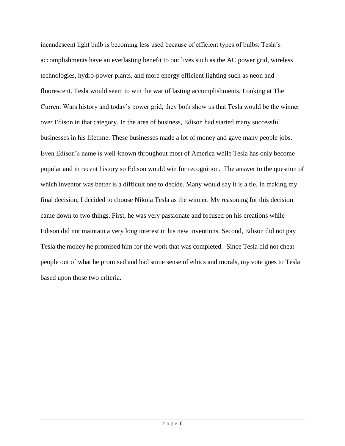incandescent light bulb is becoming less used because of efficient types of bulbs. Tesla's accomplishments have an everlasting benefit to our lives such as the AC power grid, wireless technologies, hydro-power plants, and more energy efficient lighting such as neon and fluorescent. Tesla would seem to win the war of lasting accomplishments. Looking at The Current Wars history and today's power grid, they both show us that Tesla would be the winner over Edison in that category. In the area of business, Edison had started many successful businesses in his lifetime. These businesses made a lot of money and gave many people jobs. Even Edison's name is well-known throughout most of America while Tesla has only become popular and in recent history so Edison would win for recognition. The answer to the question of which inventor was better is a difficult one to decide. Many would say it is a tie. In making my final decision, I decided to choose Nikola Tesla as the winner. My reasoning for this decision came down to two things. First, he was very passionate and focused on his creations while Edison did not maintain a very long interest in his new inventions. Second, Edison did not pay Tesla the money he promised him for the work that was completed. Since Tesla did not cheat people out of what he promised and had some sense of ethics and morals, my vote goes to Tesla based upon those two criteria.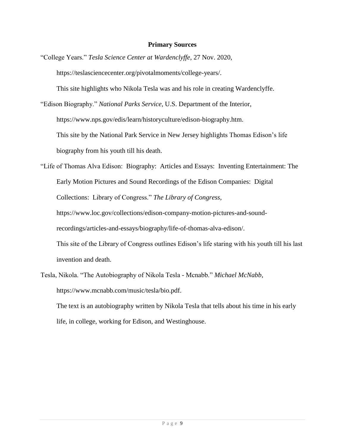## **Primary Sources**

"College Years." *Tesla Science Center at Wardenclyffe*, 27 Nov. 2020, [https://teslasciencecenter.org/pivotalmoments/college-years/.](https://teslasciencecenter.org/pivotalmoments/college-years/)

This site highlights who Nikola Tesla was and his role in creating Wardenclyffe.

"Edison Biography." *National Parks Service*, U.S. Department of the Interior, [https://www.nps.gov/edis/learn/historyculture/edison-biography.htm.](https://www.nps.gov/edis/learn/historyculture/edison-biography.htm) This site by the National Park Service in New Jersey highlights Thomas Edison's life biography from his youth till his death.

"Life of Thomas Alva Edison: Biography: Articles and Essays: Inventing Entertainment: The Early Motion Pictures and Sound Recordings of the Edison Companies: Digital Collections: Library of Congress." *The Library of Congress*, [https://www.loc.gov/collections/edison-company-motion-pictures-and-sound](https://www.loc.gov/collections/edison-company-motion-pictures-and-sound-recordings/articles-and-essays/biography/life-of-thomas-alva-edison/)[recordings/articles-and-essays/biography/life-of-thomas-alva-edison/.](https://www.loc.gov/collections/edison-company-motion-pictures-and-sound-recordings/articles-and-essays/biography/life-of-thomas-alva-edison/) This site of the Library of Congress outlines Edison's life staring with his youth till his last invention and death.

Tesla, Nikola. "The Autobiography of Nikola Tesla - Mcnabb." *Michael McNabb*, https://www.mcnabb.com/music/tesla/bio.pdf.

The text is an autobiography written by Nikola Tesla that tells about his time in his early life, in college, working for Edison, and Westinghouse.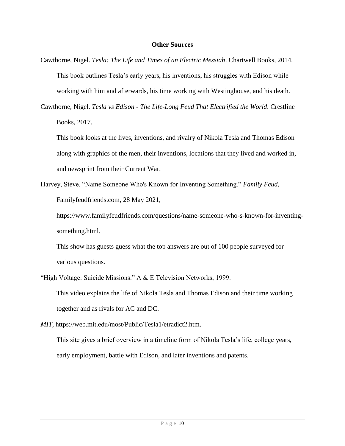## **Other Sources**

- Cawthorne, Nigel. *Tesla: The Life and Times of an Electric Messiah*. Chartwell Books, 2014. This book outlines Tesla's early years, his inventions, his struggles with Edison while working with him and afterwards, his time working with Westinghouse, and his death.
- Cawthorne, Nigel. *Tesla vs Edison - The Life-Long Feud That Electrified the World*. Crestline Books, 2017.

This book looks at the lives, inventions, and rivalry of Nikola Tesla and Thomas Edison along with graphics of the men, their inventions, locations that they lived and worked in, and newsprint from their Current War.

Harvey, Steve. "Name Someone Who's Known for Inventing Something." *Family Feud*, Familyfeudfriends.com, 28 May 2021,

https://www.familyfeudfriends.com/questions/name-someone-who-s-known-for-inventingsomething.html.

This show has guests guess what the top answers are out of 100 people surveyed for various questions.

"High Voltage: Suicide Missions." A & E Television Networks, 1999. This video explains the life of Nikola Tesla and Thomas Edison and their time working together and as rivals for AC and DC.

*MIT*, [https://web.mit.edu/most/Public/Tesla1/etradict2.htm.](https://web.mit.edu/most/Public/Tesla1/etradict2.htm)

This site gives a brief overview in a timeline form of Nikola Tesla's life, college years, early employment, battle with Edison, and later inventions and patents.